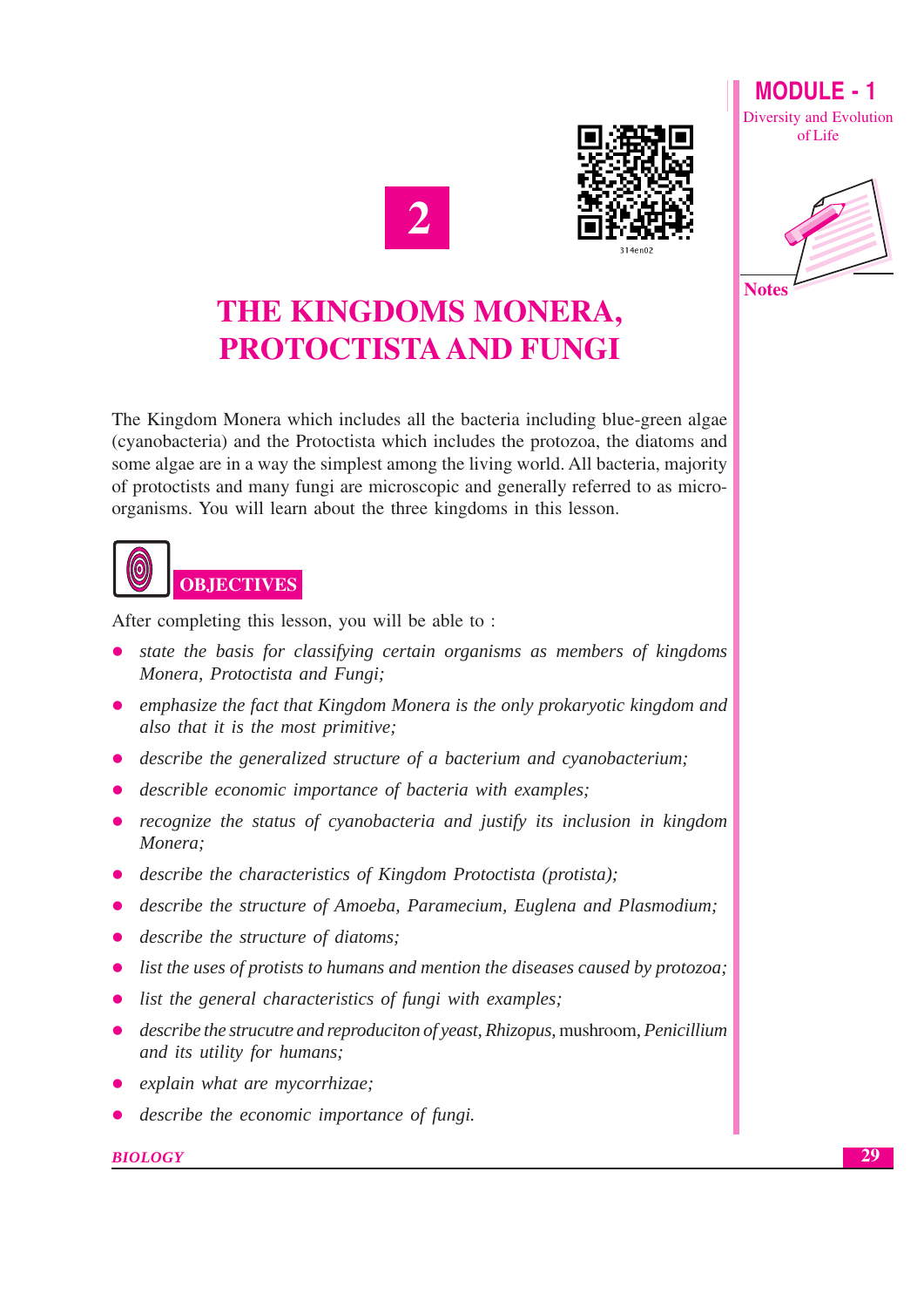







# THE KINGDOMS MONERA, **PROTOCTISTA AND FUNGI**

The Kingdom Monera which includes all the bacteria including blue-green algae (cyanobacteria) and the Protoctista which includes the protozoa, the diatoms and some algae are in a way the simplest among the living world. All bacteria, majority of protoctists and many fungi are microscopic and generally referred to as microorganisms. You will learn about the three kingdoms in this lesson.



After completing this lesson, you will be able to:

- state the basis for classifying certain organisms as members of kingdoms Monera, Protoctista and Fungi:
- emphasize the fact that Kingdom Monera is the only prokaryotic kingdom and also that it is the most primitive:
- describe the generalized structure of a bacterium and cyanobacterium;
- describle economic importance of bacteria with examples;
- recognize the status of cyanobacteria and justify its inclusion in kingdom Monera:
- describe the characteristics of Kingdom Protoctista (protista);
- describe the structure of Amoeba, Paramecium, Euglena and Plasmodium;
- describe the structure of diatoms;
- list the uses of protists to humans and mention the diseases caused by protozoa;
- list the general characteristics of fungi with examples;
- describe the strucutre and reproduciton of yeast, Rhizopus, mushroom, Penicillium and its utility for humans;
- explain what are mycorrhizae;
- describe the economic importance of fungi.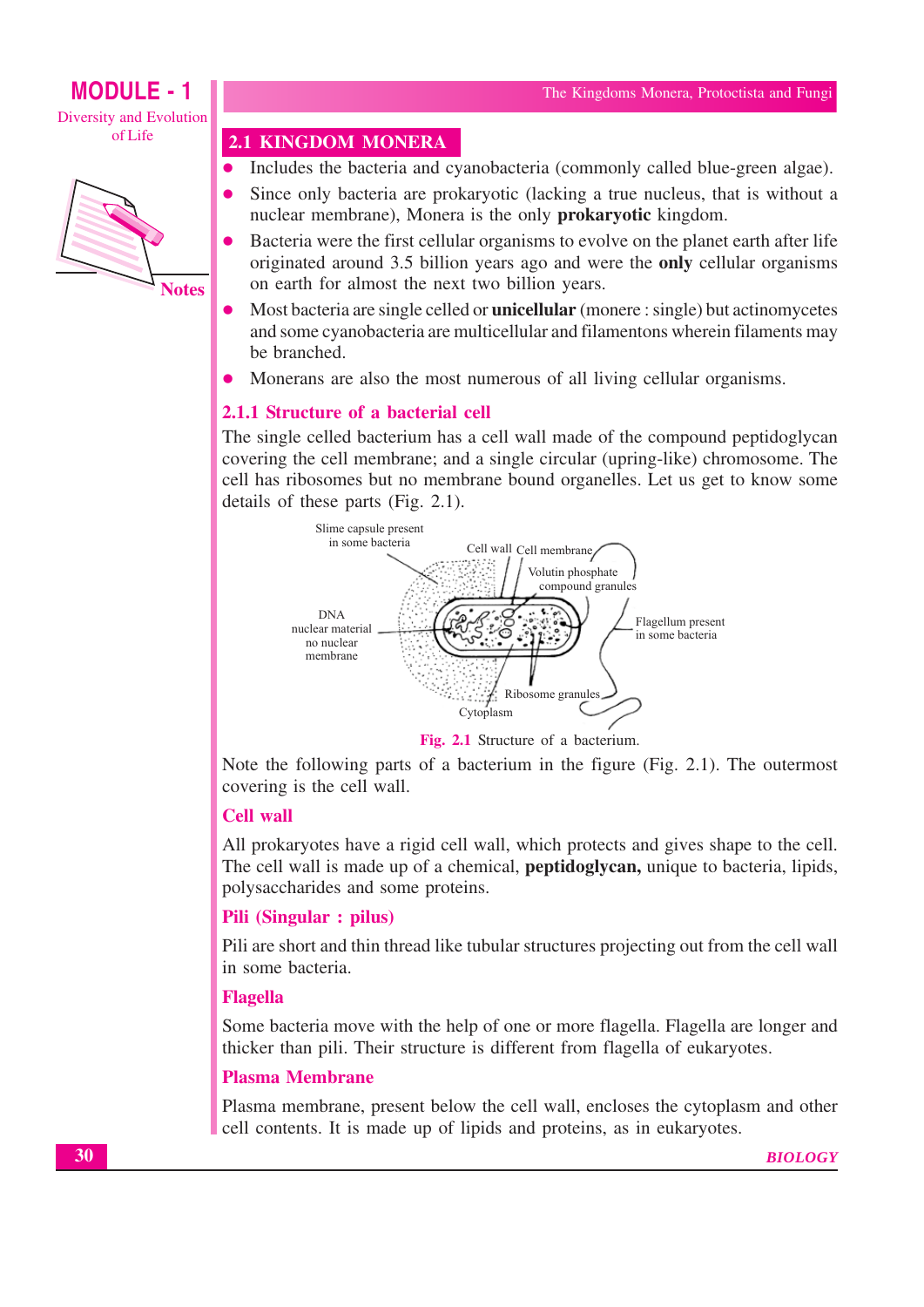# **MODULE - 1**

**Diversity and Evolution** ofLife



2.1 KINGDOM MONERA

- Includes the bacteria and cyanobacteria (commonly called blue-green algae).  $\bullet$
- Since only bacteria are prokaryotic (lacking a true nucleus, that is without a nuclear membrane). Monera is the only **prokaryotic** kingdom.
- Bacteria were the first cellular organisms to evolve on the planet earth after life originated around 3.5 billion years ago and were the only cellular organisms on earth for almost the next two billion years.
- Most bacteria are single celled or **unicellular** (monere : single) but actinomycetes and some cyanobacteria are multicellular and filamentons wherein filaments may be branched
- Monerans are also the most numerous of all living cellular organisms.

# 2.1.1 Structure of a bacterial cell

The single celled bacterium has a cell wall made of the compound peptidoglycan covering the cell membrane; and a single circular (upring-like) chromosome. The cell has ribosomes but no membrane bound organelles. Let us get to know some details of these parts (Fig. 2.1).



Note the following parts of a bacterium in the figure (Fig. 2.1). The outermost covering is the cell wall.

# **Cell wall**

All prokaryotes have a rigid cell wall, which protects and gives shape to the cell. The cell wall is made up of a chemical, **peptidoglycan**, unique to bacteria, lipids, polysaccharides and some proteins.

# Pili (Singular : pilus)

Pili are short and thin thread like tubular structures projecting out from the cell wall in some bacteria.

# **Flagella**

Some bacteria move with the help of one or more flagella. Flagella are longer and thicker than pili. Their structure is different from flagella of eukaryotes.

# **Plasma Membrane**

Plasma membrane, present below the cell wall, encloses the cytoplasm and other cell contents. It is made up of lipids and proteins, as in eukaryotes.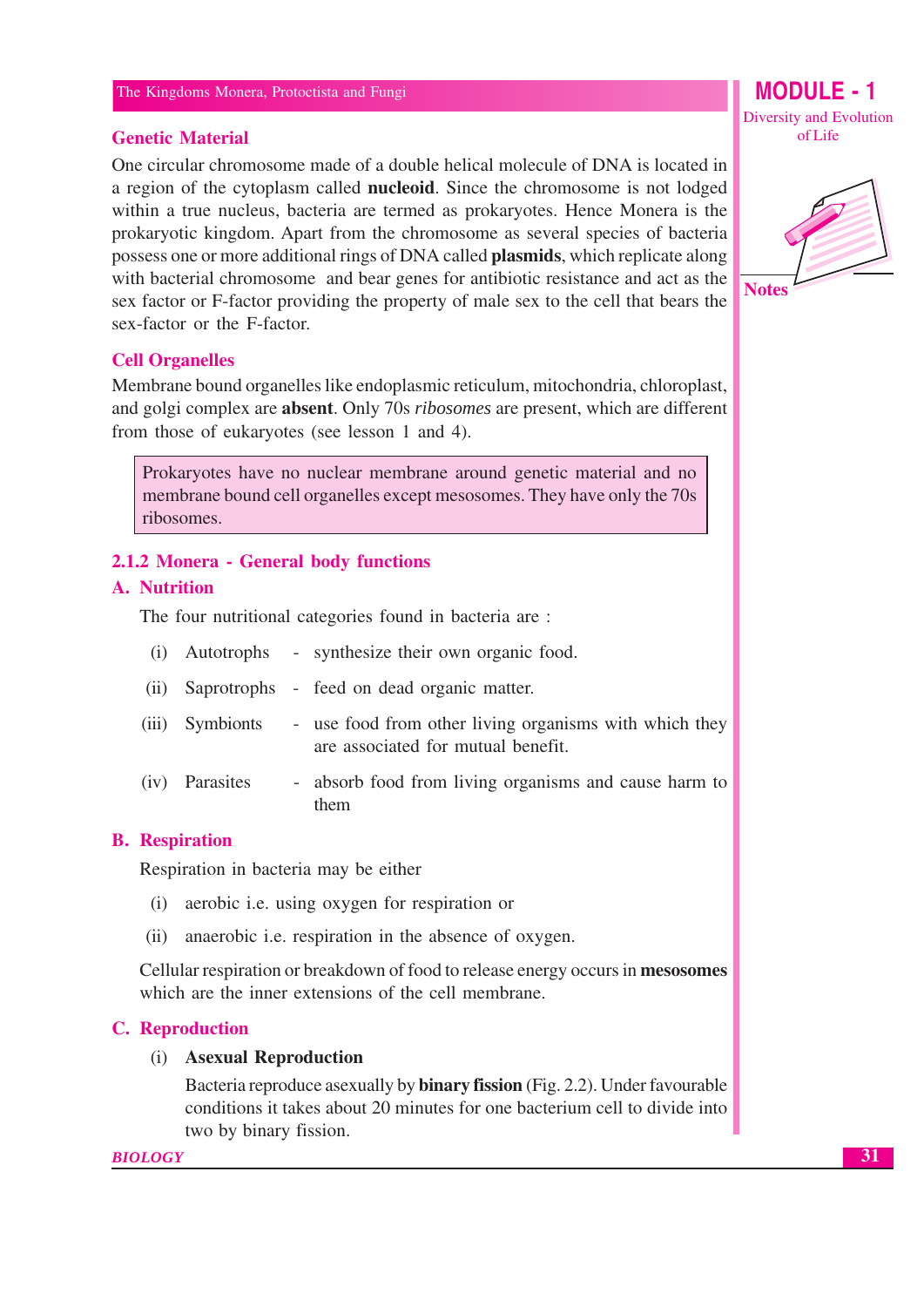#### **Genetic Material**

One circular chromosome made of a double helical molecule of DNA is located in a region of the cytoplasm called **nucleoid**. Since the chromosome is not lodged within a true nucleus, bacteria are termed as prokaryotes. Hence Monera is the prokaryotic kingdom. Apart from the chromosome as several species of bacteria possess one or more additional rings of DNA called plasmids, which replicate along with bacterial chromosome and bear genes for antibiotic resistance and act as the sex factor or F-factor providing the property of male sex to the cell that bears the sex-factor or the F-factor.

#### **Cell Organelles**

Membrane bound organelles like endoplasmic reticulum, mitochondria, chloroplast, and golgi complex are **absent**. Only 70s *ribosomes* are present, which are different from those of eukaryotes (see lesson 1 and 4).

Prokaryotes have no nuclear membrane around genetic material and no membrane bound cell organelles except mesosomes. They have only the 70s ribosomes.

# 2.1.2 Monera - General body functions

#### **A.** Nutrition

The four nutritional categories found in bacteria are :

|                 | (i) Autotrophs - synthesize their own organic food.                                          |
|-----------------|----------------------------------------------------------------------------------------------|
|                 | (ii) Saprotrophs - feed on dead organic matter.                                              |
| (iii) Symbionts | - use food from other living organisms with which they<br>are associated for mutual benefit. |
| (iv) Parasites  | - absorb food from living organisms and cause harm to                                        |

#### **B.** Respiration

Respiration in bacteria may be either

(i) aerobic i.e. using oxygen for respiration or

them

 $(ii)$ anaerobic *i.e.* respiration in the absence of oxygen.

Cellular respiration or breakdown of food to release energy occurs in mesosomes which are the inner extensions of the cell membrane.

#### **C.** Reproduction

#### (i) Asexual Reproduction

Bacteria reproduce as exually by **binary fission** (Fig. 2.2). Under favourable conditions it takes about 20 minutes for one bacterium cell to divide into two by binary fission.

**MODULE - 1 Diversity and Evolution** of Life

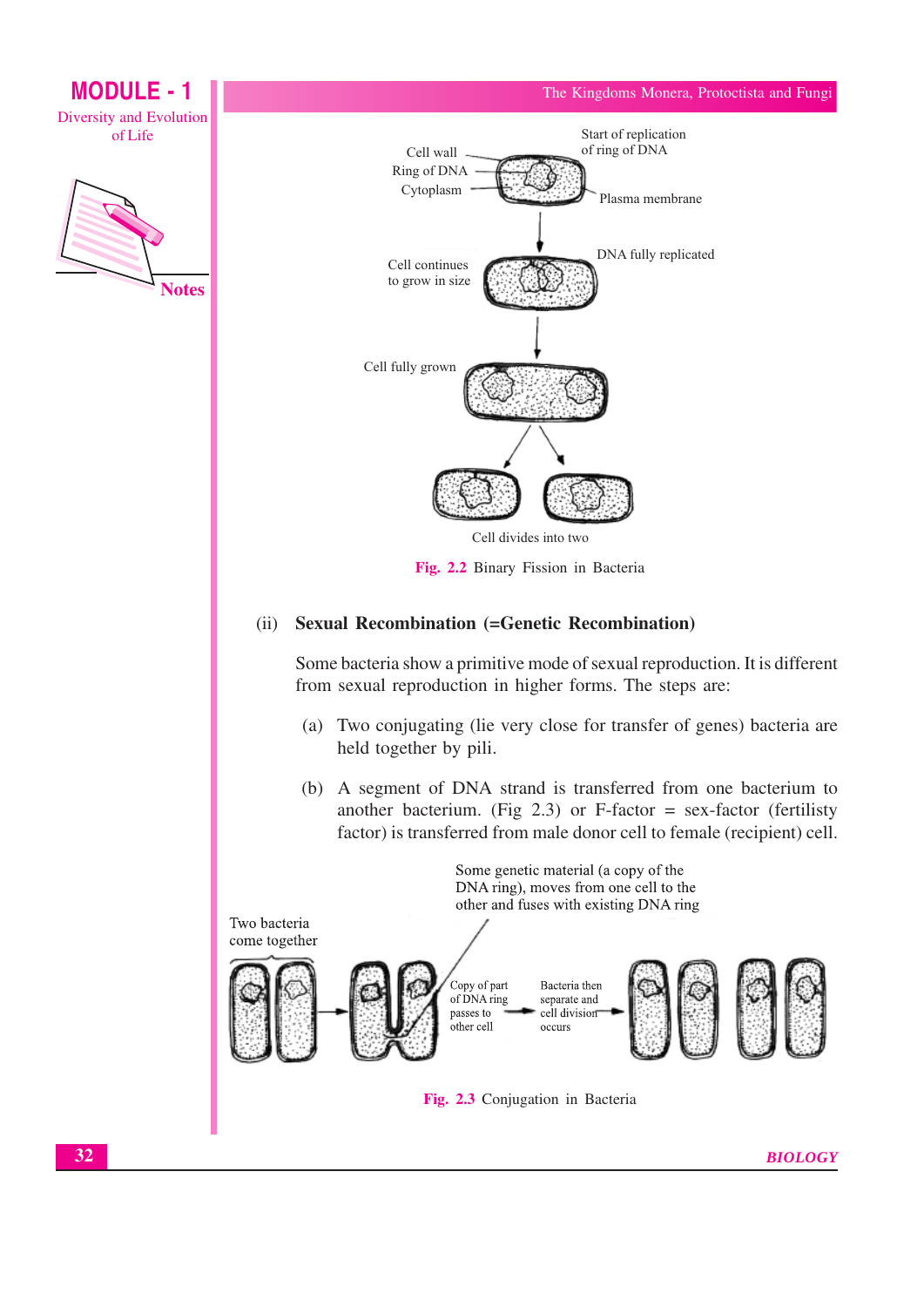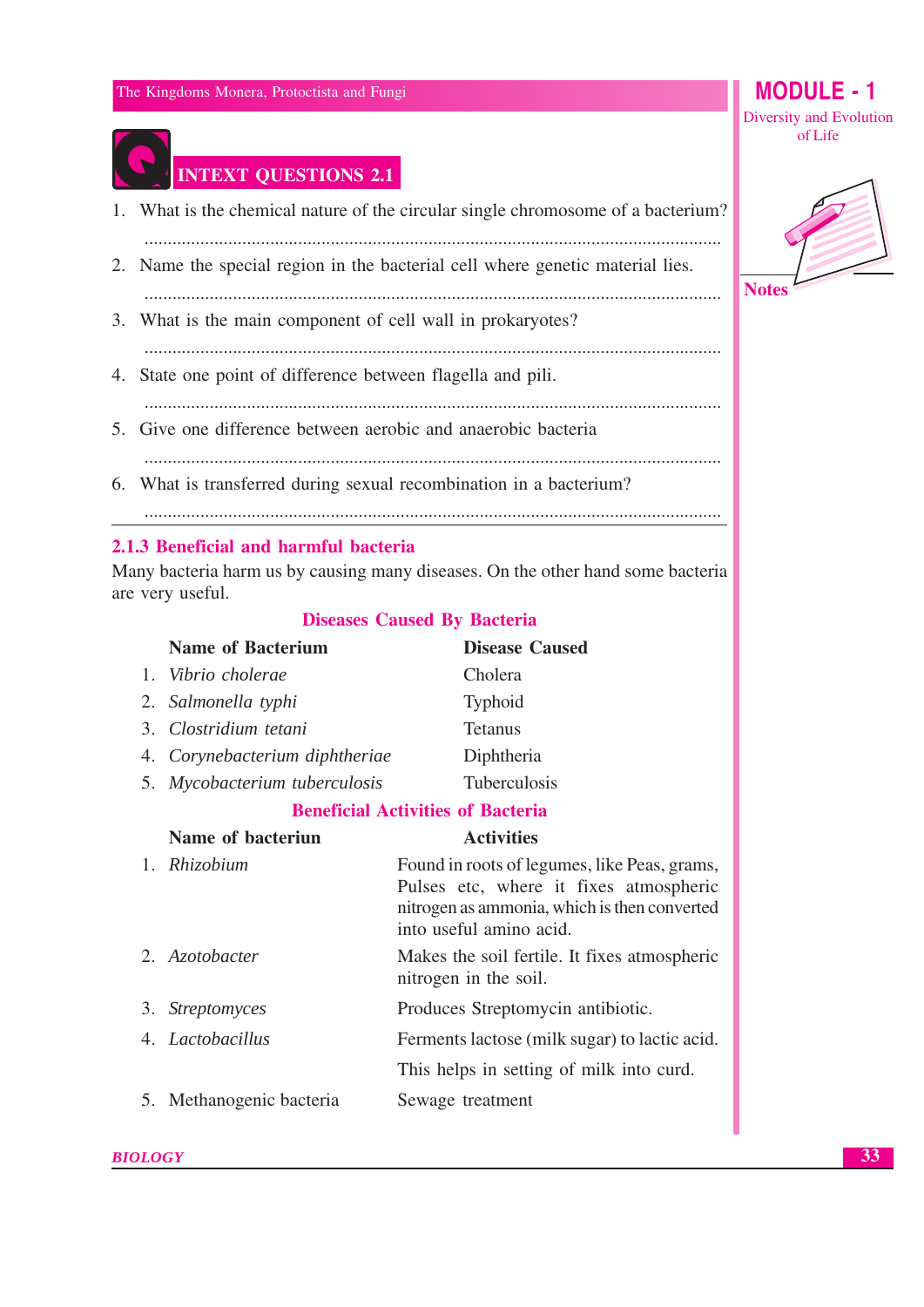#### **MODULE - 1 Diversity and Evolution** of Life



# **INTEXT QUESTIONS 2.1**

1. What is the chemical nature of the circular single chromosome of a bacterium?

- 2. Name the special region in the bacterial cell where genetic material lies.
- 3. What is the main component of cell wall in prokaryotes?
- 4. State one point of difference between flagella and pili.
- 5. Give one difference between aerobic and anaerobic bacteria
- 
- 6. What is transferred during sexual recombination in a bacterium?

# 

#### 2.1.3 Beneficial and harmful bacteria

Many bacteria harm us by causing many diseases. On the other hand some bacteria are very useful.

#### **Diseases Caused By Bacteria**

| Name of Bacterium              | <b>Disease Caused</b> |
|--------------------------------|-----------------------|
| 1. Vibrio cholerae             | Cholera               |
| 2. Salmonella typhi            | <b>Typhoid</b>        |
| 3. Clostridium tetani          | <b>Tetanus</b>        |
| 4. Corynebacterium diphtheriae | Diphtheria            |
| 5. Mycobacterium tuberculosis  | Tuberculosis          |

### **Beneficial Activities of Bacteria**

#### Name of bacteriun **Activities** 1. Rhizobium Found in roots of legumes, like Peas, grams, Pulses etc, where it fixes atmospheric nitrogen as ammonia, which is then converted into useful amino acid. 2. Azotobacter Makes the soil fertile. It fixes atmospheric nitrogen in the soil. 3. Streptomyces Produces Streptomycin antibiotic. 4. Lactobacillus Ferments lactose (milk sugar) to lactic acid. This helps in setting of milk into curd. 5. Methanogenic bacteria Sewage treatment

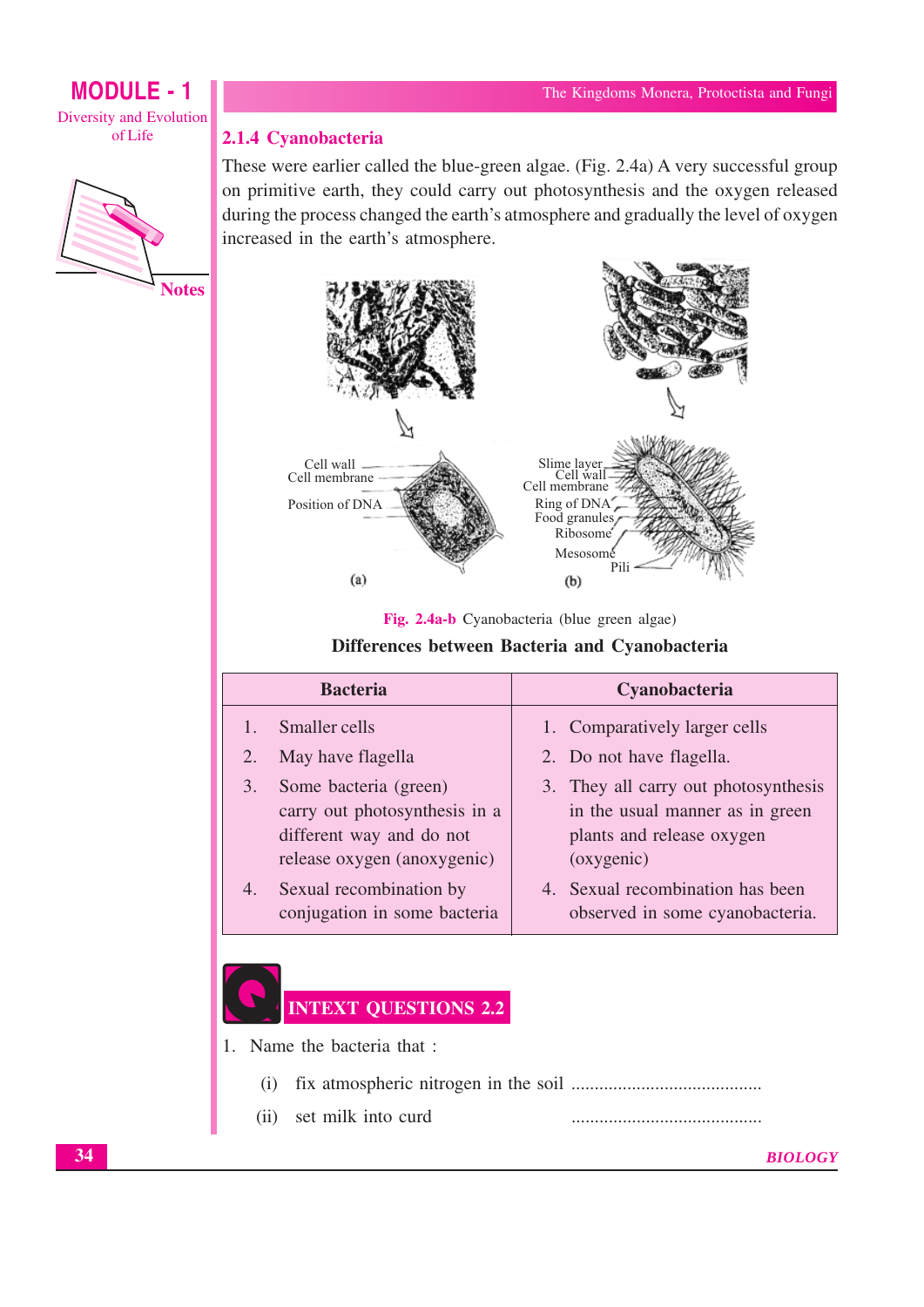# **MODULE - 1** Diversity and Evolution of Life



### 2.1.4 Cyanobacteria

These were earlier called the blue-green algae. (Fig. 2.4a) A very successful group on primitive earth, they could carry out photosynthesis and the oxygen released during the process changed the earth's atmosphere and gradually the level of oxygen increased in the earth's atmosphere.



Fig. 2.4a-b Cyanobacteria (blue green algae)

#### Differences between Bacteria and Cyanobacteria

|    | <b>Bacteria</b>                                                                                                   | Cyanobacteria                                                                                                      |
|----|-------------------------------------------------------------------------------------------------------------------|--------------------------------------------------------------------------------------------------------------------|
|    | Smaller cells                                                                                                     | 1. Comparatively larger cells                                                                                      |
| 2. | May have flagella                                                                                                 | 2. Do not have flagella.                                                                                           |
| 3. | Some bacteria (green)<br>carry out photosynthesis in a<br>different way and do not<br>release oxygen (anoxygenic) | 3. They all carry out photosynthesis<br>in the usual manner as in green<br>plants and release oxygen<br>(oxygenic) |
| 4. | Sexual recombination by<br>conjugation in some bacteria                                                           | 4. Sexual recombination has been<br>observed in some cyanobacteria.                                                |

# **INTEXT QUESTIONS 2.2**

1. Name the bacteria that:

- $(i)$
- set milk into curd  $(ii)$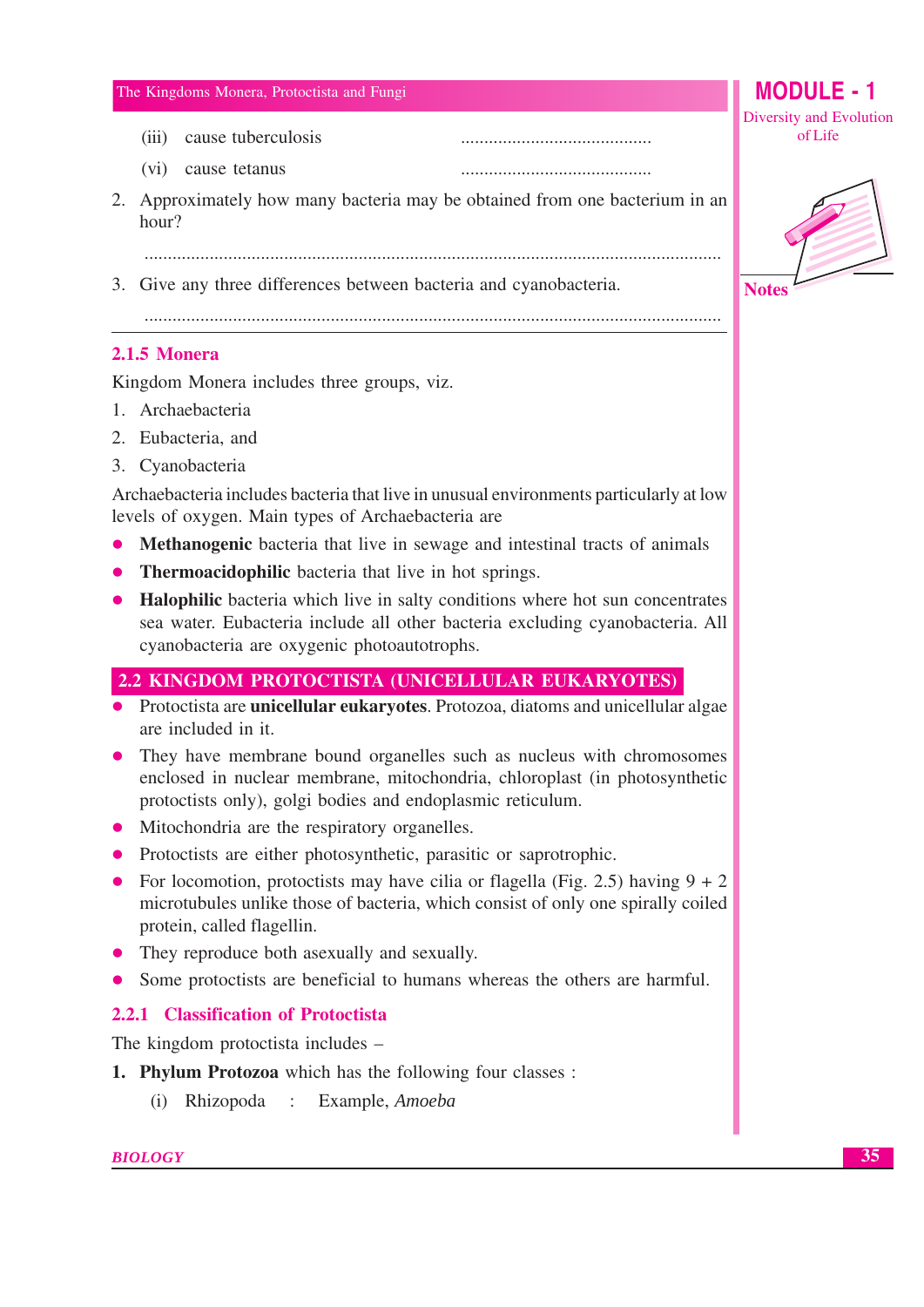- (iii) cause tuberculosis
- (vi) cause tetanus
- 2. Approximately how many bacteria may be obtained from one bacterium in an hour?
	-
- 3. Give any three differences between bacteria and cyanobacteria.

#### 2.1.5 Monera

Kingdom Monera includes three groups, viz.

- 1. Archaebacteria
- 2. Eubacteria, and
- 3. Cyanobacteria

Archaebacteria includes bacteria that live in unusual environments particularly at low levels of oxygen. Main types of Archaebacteria are

- Methanogenic bacteria that live in sewage and intestinal tracts of animals
- **Thermoacidophilic** bacteria that live in hot springs.
- Halophilic bacteria which live in salty conditions where hot sun concentrates sea water. Eubacteria include all other bacteria excluding cyanobacteria. All cyanobacteria are oxygenic photoautotrophs.

# 2.2 KINGDOM PROTOCTISTA (UNICELLULAR EUKARYOTES)

- Protoctista are **unicellular eukarvotes**. Protozoa, diatoms and unicellular algae are included in it
- They have membrane bound organelles such as nucleus with chromosomes enclosed in nuclear membrane, mitochondria, chloroplast (in photosynthetic protoctists only), golgi bodies and endoplasmic reticulum.
- Mitochondria are the respiratory organelles.
- Protoctists are either photosynthetic, parasitic or saprotrophic.
- For locomotion, protoctists may have cilia or flagella (Fig. 2.5) having  $9 + 2$ microtubules unlike those of bacteria, which consist of only one spirally coiled protein, called flagellin.
- They reproduce both as exually and sexually.
- Some protoctists are beneficial to humans whereas the others are harmful.

#### 2.2.1 Classification of Protoctista

The kingdom protoctista includes –

- 1. Phylum Protozoa which has the following four classes:
	- (i) Rhizopoda : Example, Amoeba

**Diversity and Evolution** of Life

**MODULE - 1** 

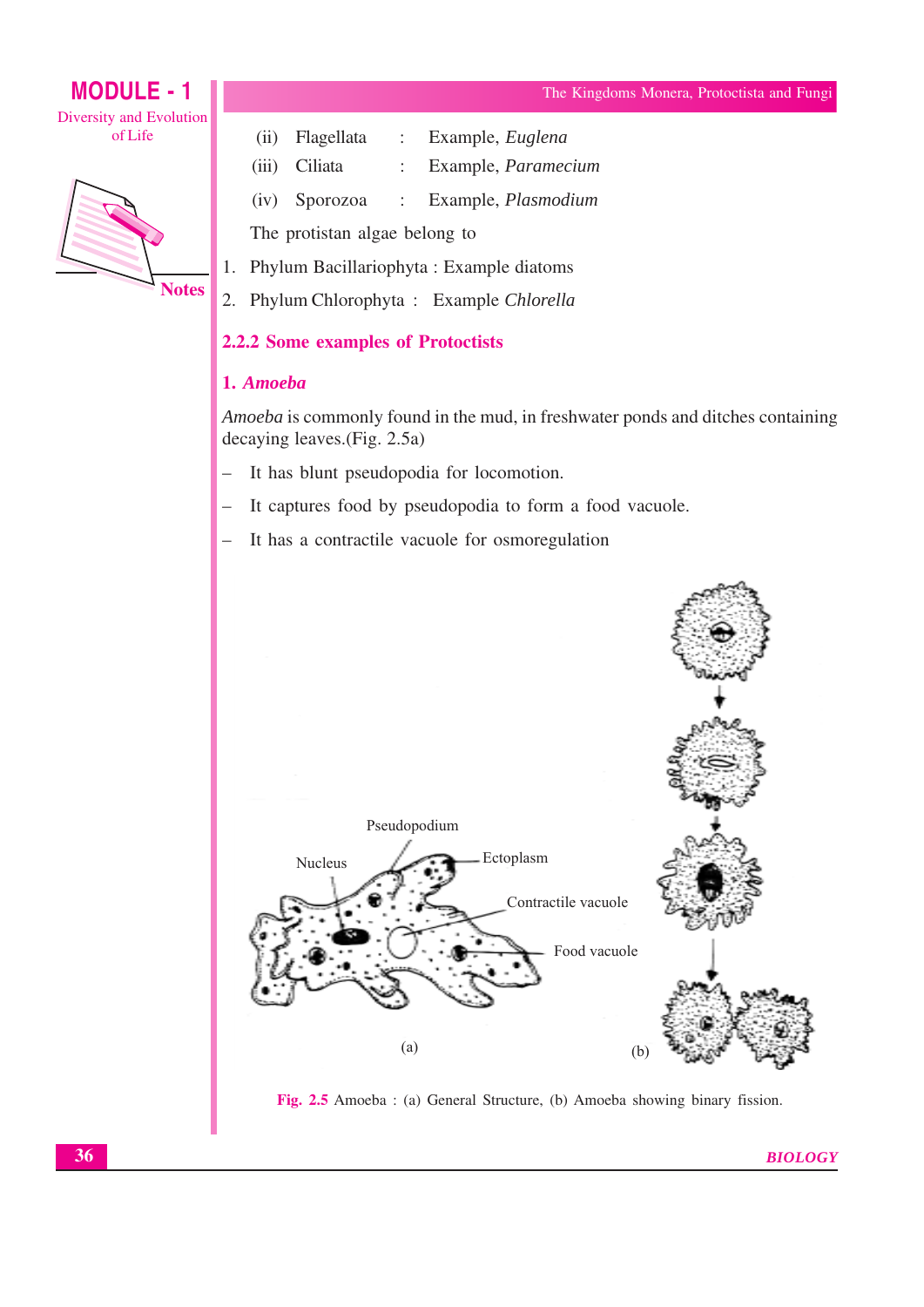**MODULE - 1** Diversity and Evolution of Life



Flagellata  $(ii)$  $\ddot{\cdot}$ Example, Euglena

- Ciliata Example, Paramecium  $\ddot{\cdot}$
- Sporozoa Example, Plasmodium  $(iv)$  $\ddot{\cdot}$

The protistan algae belong to

- Phylum Bacillariophyta: Example diatoms 1.
- 2. Phylum Chlorophyta: Example Chlorella

# 2.2.2 Some examples of Protoctists

# 1. Amoeba

 $(iii)$ 

Amoeba is commonly found in the mud, in freshwater ponds and ditches containing decaying leaves. (Fig. 2.5a)

- It has blunt pseudopodia for locomotion.  $\equiv$
- It captures food by pseudopodia to form a food vacuole.
- It has a contractile vacuole for osmoregulation  $\equiv$



Fig. 2.5 Amoeba : (a) General Structure, (b) Amoeba showing binary fission.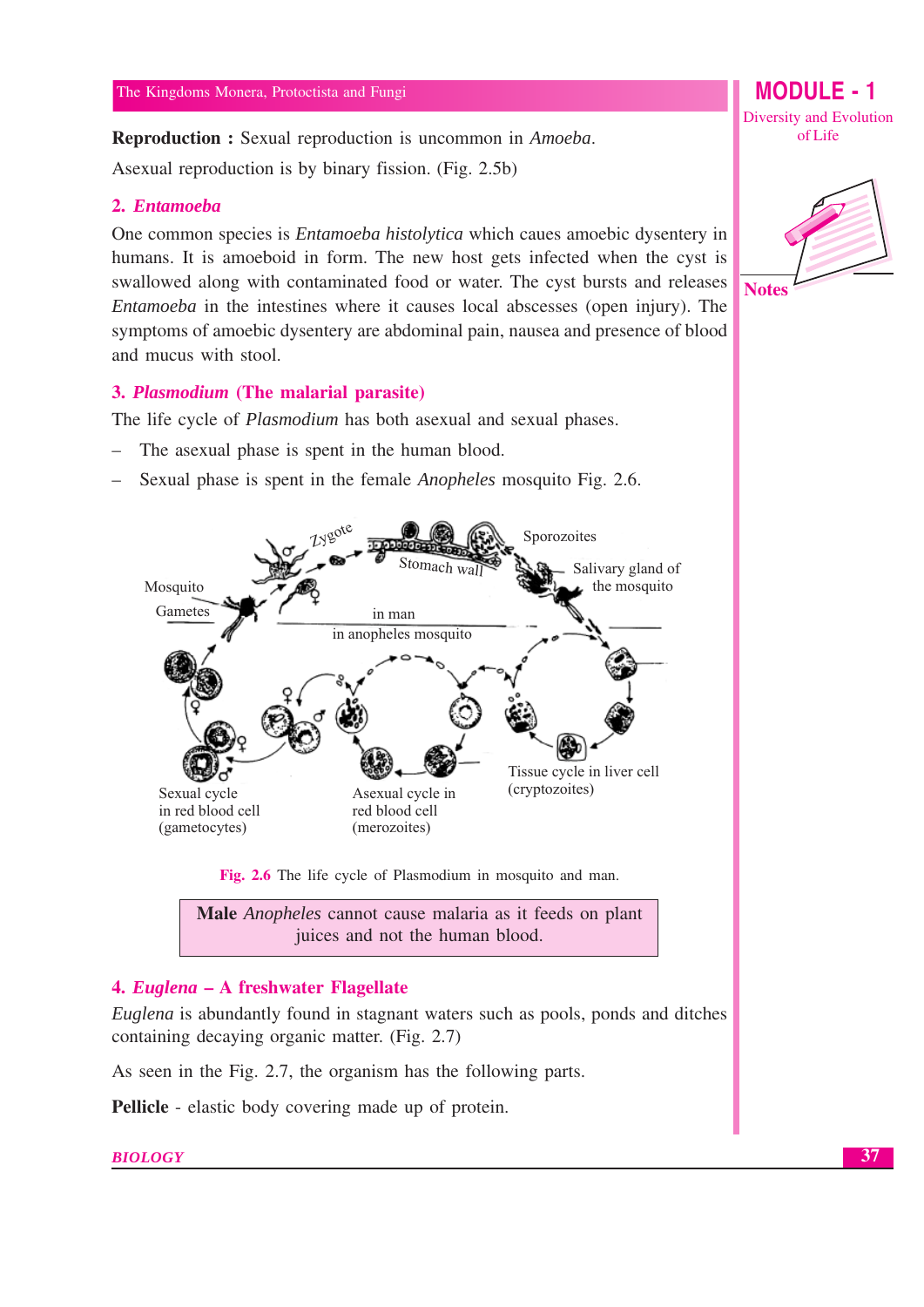**Reproduction :** Sexual reproduction is uncommon in Amoeba. Asexual reproduction is by binary fission. (Fig. 2.5b)

#### 2. Entamoeba

One common species is *Entamoeba histolytica* which caues amoebic dysentery in humans. It is amoeboid in form. The new host gets infected when the cyst is swallowed along with contaminated food or water. The cyst bursts and releases *Entamoeba* in the intestines where it causes local abscesses (open injury). The symptoms of amoebic dysentery are abdominal pain, nausea and presence of blood and mucus with stool.

# 3. Plasmodium (The malarial parasite)

The life cycle of *Plasmodium* has both asexual and sexual phases.

- The asexual phase is spent in the human blood.
- Sexual phase is spent in the female *Anopheles* mosquito Fig. 2.6.





Male *Anopheles* cannot cause malaria as it feeds on plant juices and not the human blood.

#### 4. Euglena – A freshwater Flagellate

*Euglena* is abundantly found in stagnant waters such as pools, ponds and ditches containing decaying organic matter. (Fig. 2.7)

As seen in the Fig. 2.7, the organism has the following parts.

**Pellicle** - elastic body covering made up of protein.

#### **BIOLOGY**

**MODULE - 1 Diversity and Evolution** of Life

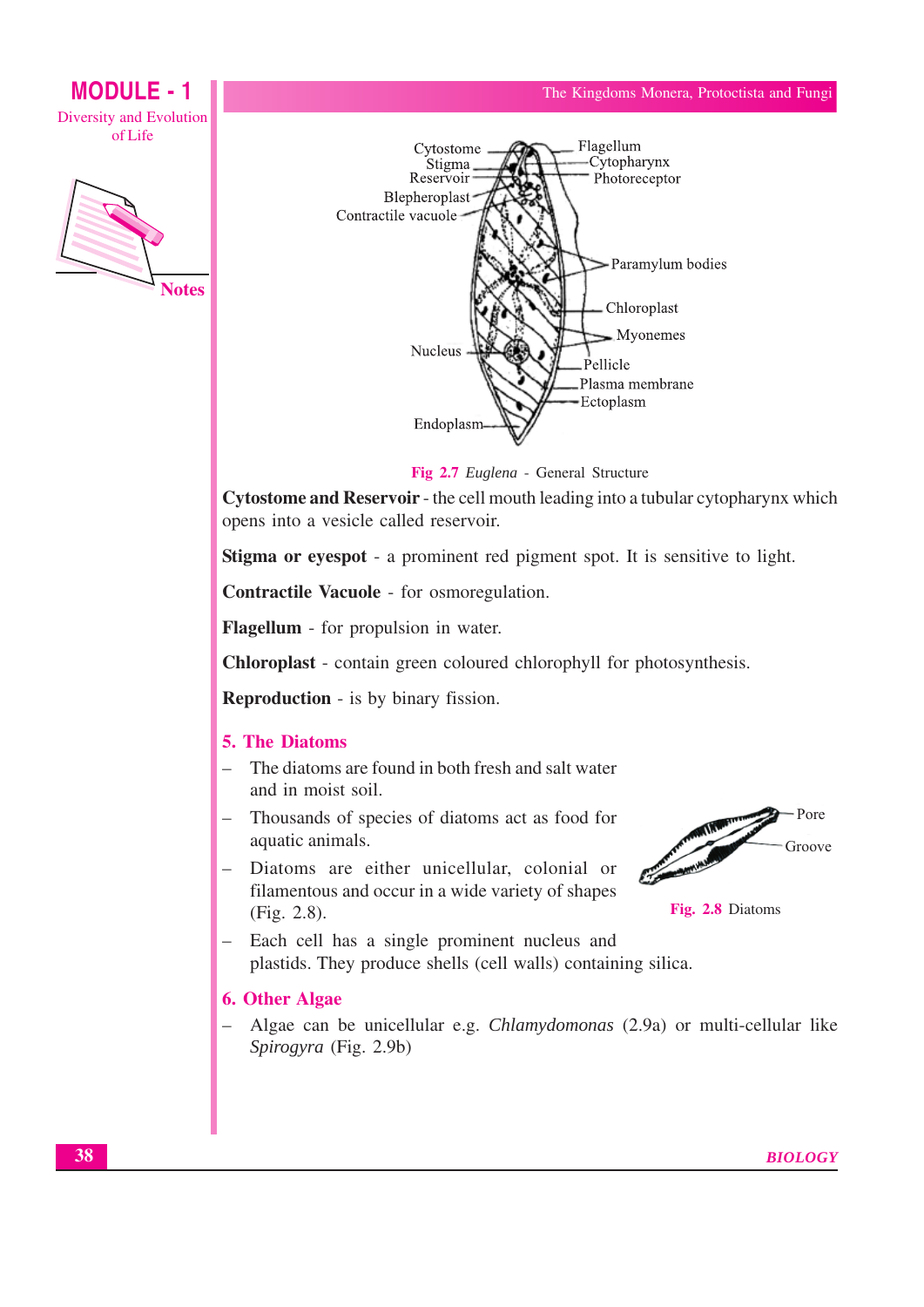

**MODULE - 1** 

**Diversity and Evolution** ofLife



Fig 2.7 Euglena - General Structure

Cytostome and Reservoir - the cell mouth leading into a tubular cytopharynx which opens into a vesicle called reservoir.

Stigma or eyespot - a prominent red pigment spot. It is sensitive to light.

Contractile Vacuole - for osmoregulation.

**Flagellum** - for propulsion in water.

**Chloroplast** - contain green coloured chlorophyll for photosynthesis.

**Reproduction** - is by binary fission.

#### 5. The Diatoms

- The diatoms are found in both fresh and salt water and in moist soil.
- Thousands of species of diatoms act as food for aquatic animals.
- Diatoms are either unicellular, colonial or filamentous and occur in a wide variety of shapes (Fig. 2.8).
- Pore Groove

- Each cell has a single prominent nucleus and plastids. They produce shells (cell walls) containing silica.

#### **6. Other Algae**

Algae can be unicellular e.g. Chlamydomonas (2.9a) or multi-cellular like Spirogyra (Fig. 2.9b)

Fig. 2.8 Diatoms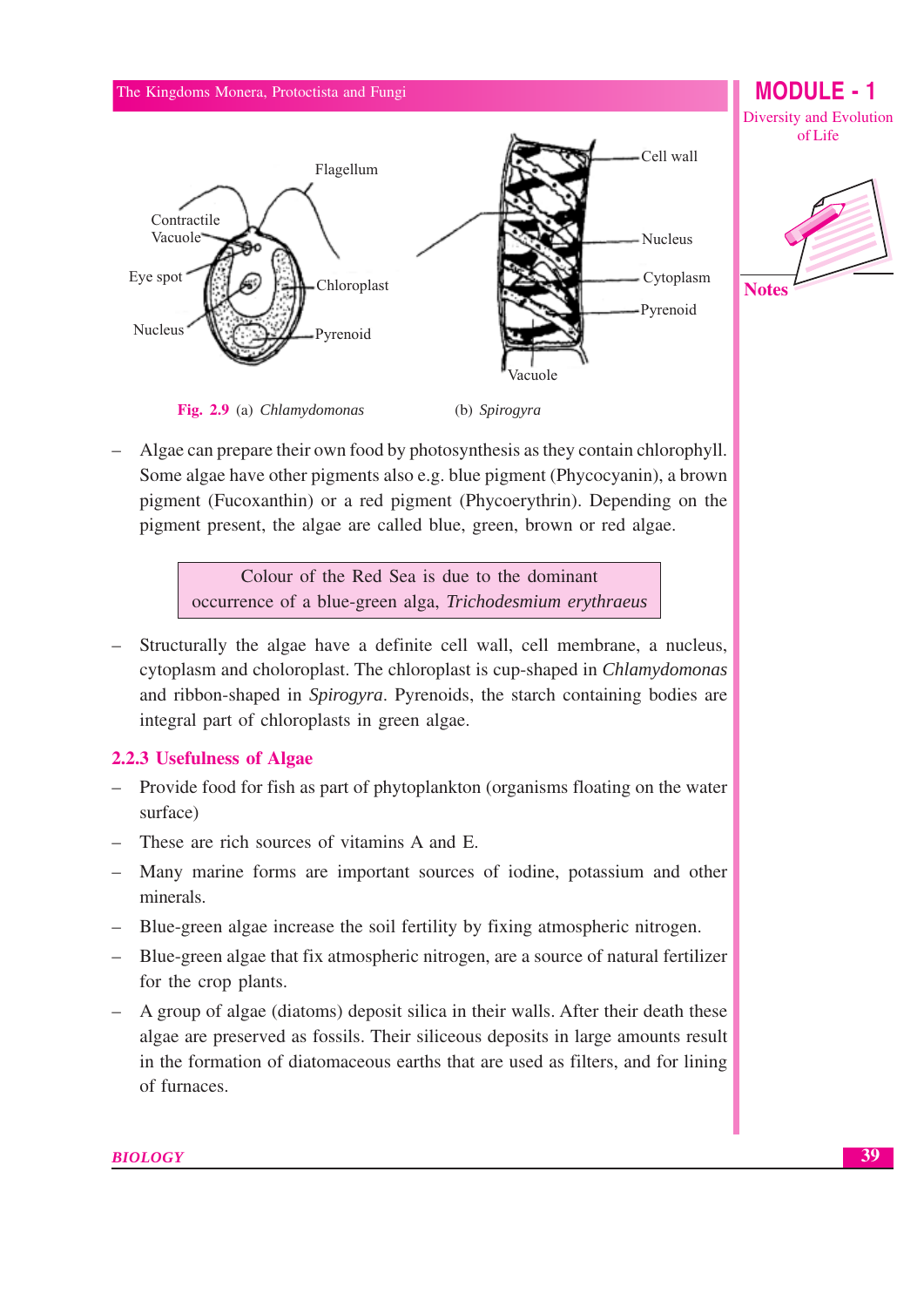



Algae can prepare their own food by photosynthesis as they contain chlorophyll. Some algae have other pigments also e.g. blue pigment (Phycocyanin), a brown pigment (Fucoxanthin) or a red pigment (Phycoerythrin). Depending on the pigment present, the algae are called blue, green, brown or red algae.

> Colour of the Red Sea is due to the dominant occurrence of a blue-green alga, Trichodesmium erythraeus

Structurally the algae have a definite cell wall, cell membrane, a nucleus, cytoplasm and choloroplast. The chloroplast is cup-shaped in *Chlamydomonas* and ribbon-shaped in *Spirogyra*. Pyrenoids, the starch containing bodies are integral part of chloroplasts in green algae.

# 2.2.3 Usefulness of Algae

- Provide food for fish as part of phytoplankton (organisms floating on the water surface)
- $-$  These are rich sources of vitamins A and E.
- Many marine forms are important sources of iodine, potassium and other minerals.
- Blue-green algae increase the soil fertility by fixing atmospheric nitrogen.
- Blue-green algae that fix atmospheric nitrogen, are a source of natural fertilizer for the crop plants.
- A group of algae (diatoms) deposit silica in their walls. After their death these algae are preserved as fossils. Their siliceous deposits in large amounts result in the formation of diatomaceous earths that are used as filters, and for lining of furnaces.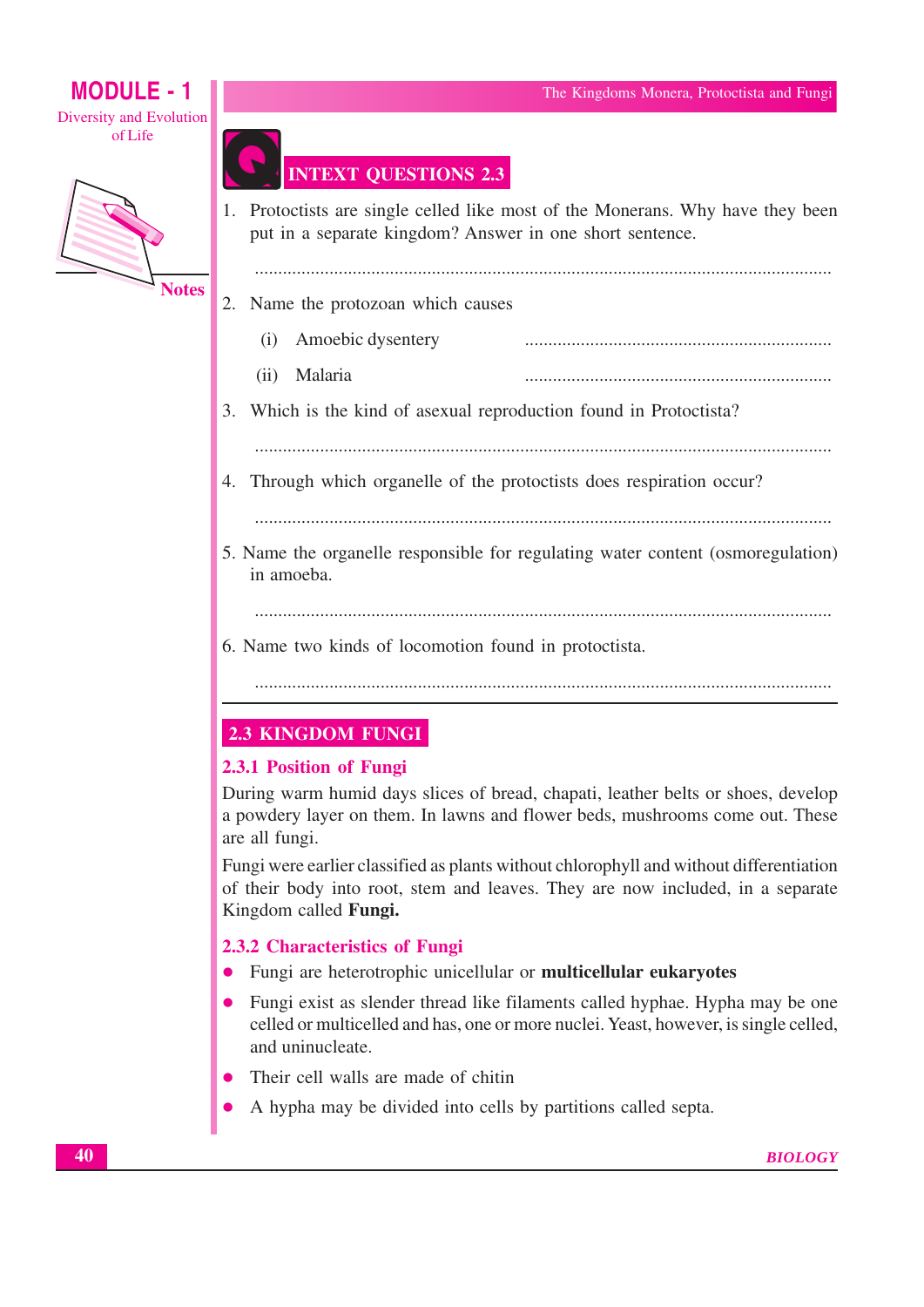# **MODULE - 1 Diversity and Evolution**

ofLife



# **INTEXT QUESTIONS 2.3**

1. Protoctists are single celled like most of the Monerans. Why have they been put in a separate kingdom? Answer in one short sentence.

2. Name the protozoan which causes

Amoebic dysentery  $(i)$ 

 $(i)$ Malaria 

3. Which is the kind of asexual reproduction found in Protoctista?

- 
- 4. Through which organelle of the protoctists does respiration occur?
	-
- 5. Name the organelle responsible for regulating water content (osmoregulation) in amoeba.

6. Name two kinds of locomotion found in protoctista.

# 2.3 KINGDOM FUNGI

# 2.3.1 Position of Fungi

During warm humid days slices of bread, chapati, leather belts or shoes, develop a powdery layer on them. In lawns and flower beds, mushrooms come out. These are all fungi.

Fungi were earlier classified as plants without chlorophyll and without differentiation of their body into root, stem and leaves. They are now included, in a separate Kingdom called Fungi.

# 2.3.2 Characteristics of Fungi

- Fungi are heterotrophic unicellular or multicellular eukaryotes  $\bullet$
- Fungi exist as slender thread like filaments called hyphae. Hypha may be one celled or multicelled and has, one or more nuclei. Yeast, however, is single celled, and uninucleate.
- Their cell walls are made of chitin
- A hypha may be divided into cells by partitions called septa.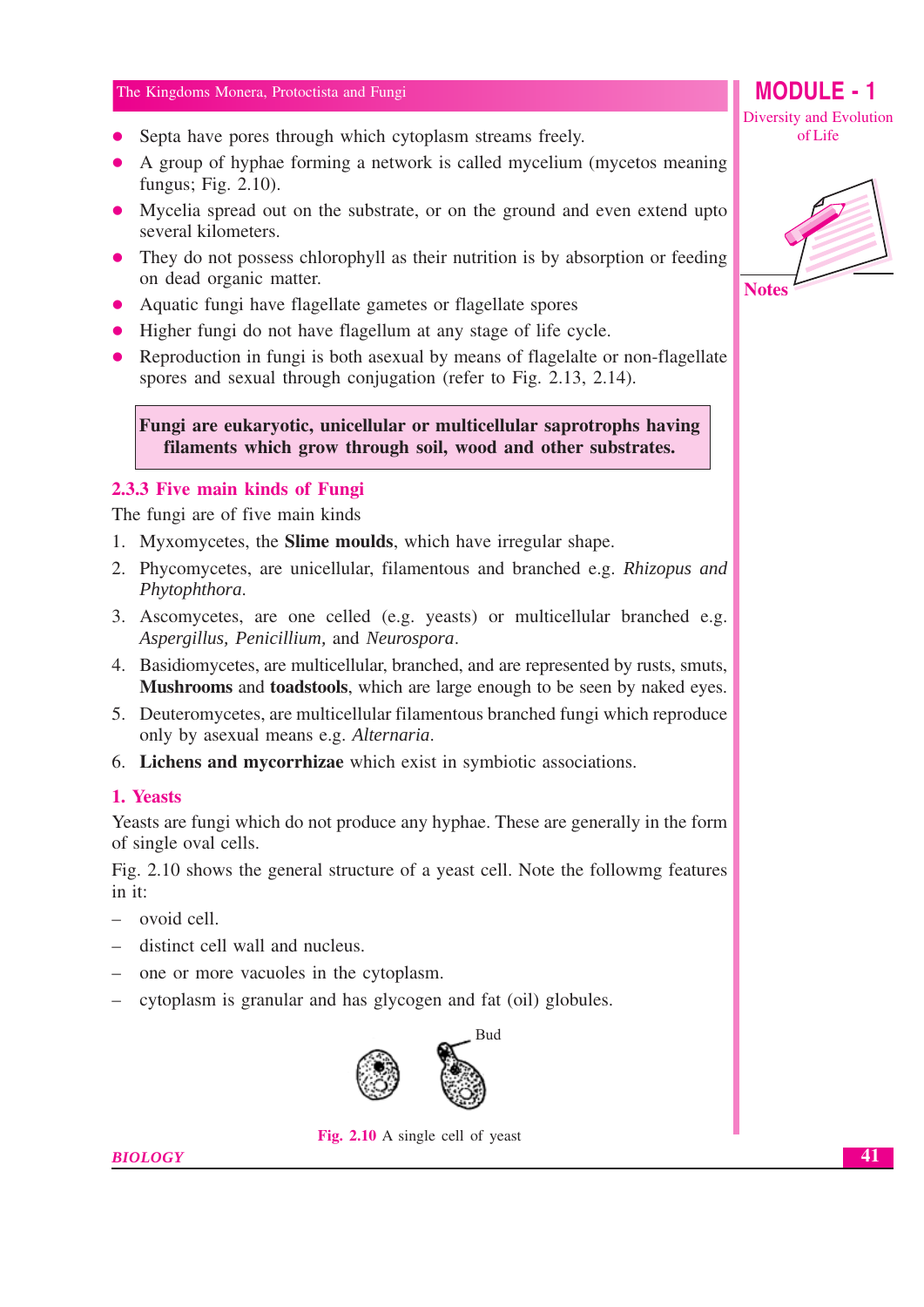- Septa have pores through which cytoplasm streams freely.
- A group of hyphae forming a network is called mycelium (mycetos meaning) fungus; Fig. 2.10).
- Mycelia spread out on the substrate, or on the ground and even extend upto several kilometers.
- They do not possess chlorophyll as their nutrition is by absorption or feeding on dead organic matter.
- Aquatic fungi have flagellate gametes or flagellate spores
- Higher fungi do not have flagellum at any stage of life cycle.
- Reproduction in fungi is both as exual by means of flagelalte or non-flagellate spores and sexual through conjugation (refer to Fig. 2.13, 2.14).

Fungi are eukaryotic, unicellular or multicellular saprotrophs having filaments which grow through soil, wood and other substrates.

#### 2.3.3 Five main kinds of Fungi

The fungi are of five main kinds

- 1. Myxomycetes, the **Slime moulds**, which have irregular shape.
- 2. Phycomycetes, are unicellular, filamentous and branched e.g. *Rhizopus and* Phytophthora.
- 3. Ascomycetes, are one celled (e.g. yeasts) or multicellular branched e.g. Aspergillus, Penicillium, and Neurospora.
- 4. Basidiomycetes, are multicellular, branched, and are represented by rusts, smuts, Mushrooms and toadstools, which are large enough to be seen by naked eyes.
- 5. Deuteromycetes, are multicellular filamentous branched fungi which reproduce only by asexual means e.g. Alternaria.
- 6. Lichens and mycorrhizae which exist in symbiotic associations.

#### 1. Yeasts

Yeasts are fungi which do not produce any hyphae. These are generally in the form of single oval cells.

Fig. 2.10 shows the general structure of a yeast cell. Note the following features in it:

- ovoid cell.
- $-$  distinct cell wall and nucleus.
- one or more vacuoles in the cytoplasm.
- cytoplasm is granular and has glycogen and fat (oil) globules.



Fig. 2.10 A single cell of yeast

**Diversity and Evolution** of Life

**MODULE - 1** 

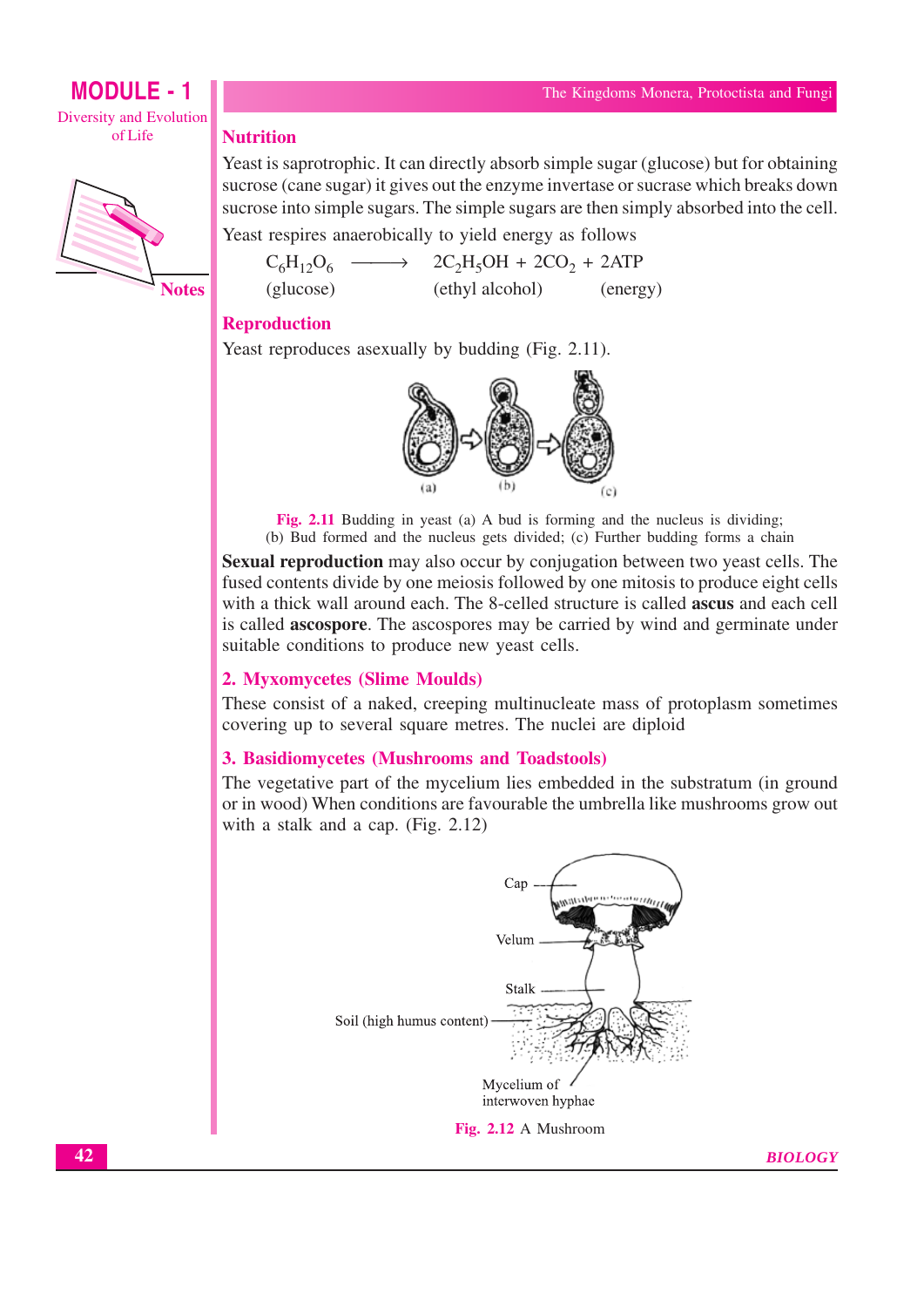# **MODULE - 1 Diversity and Evolution** ofLife



**Notes** 

#### **Nutrition**

Yeast is saprotrophic. It can directly absorb simple sugar (glucose) but for obtaining sucrose (cane sugar) it gives out the enzyme invertase or sucrase which breaks down sucrose into simple sugars. The simple sugars are then simply absorbed into the cell. Yeast respires anaerobically to yield energy as follows

 $C_6H_{12}O_6 \longrightarrow 2C_2H_5OH + 2CO_2 + 2ATP$ (ethyl alcohol)  $glucose)$ (energy)

#### **Reproduction**

Yeast reproduces as exually by budding (Fig. 2.11).



Fig. 2.11 Budding in yeast (a) A bud is forming and the nucleus is dividing; (b) Bud formed and the nucleus gets divided; (c) Further budding forms a chain

**Sexual reproduction** may also occur by conjugation between two yeast cells. The fused contents divide by one meiosis followed by one mitosis to produce eight cells with a thick wall around each. The 8-celled structure is called **ascus** and each cell is called **ascospore**. The ascospores may be carried by wind and germinate under suitable conditions to produce new yeast cells.

#### 2. Myxomycetes (Slime Moulds)

These consist of a naked, creeping multinucleate mass of protoplasm sometimes covering up to several square metres. The nuclei are diploid

#### 3. Basidiomycetes (Mushrooms and Toadstools)

The vegetative part of the mycelium lies embedded in the substratum (in ground or in wood) When conditions are favourable the umbrella like mushrooms grow out with a stalk and a cap.  $(Fig. 2.12)$ 

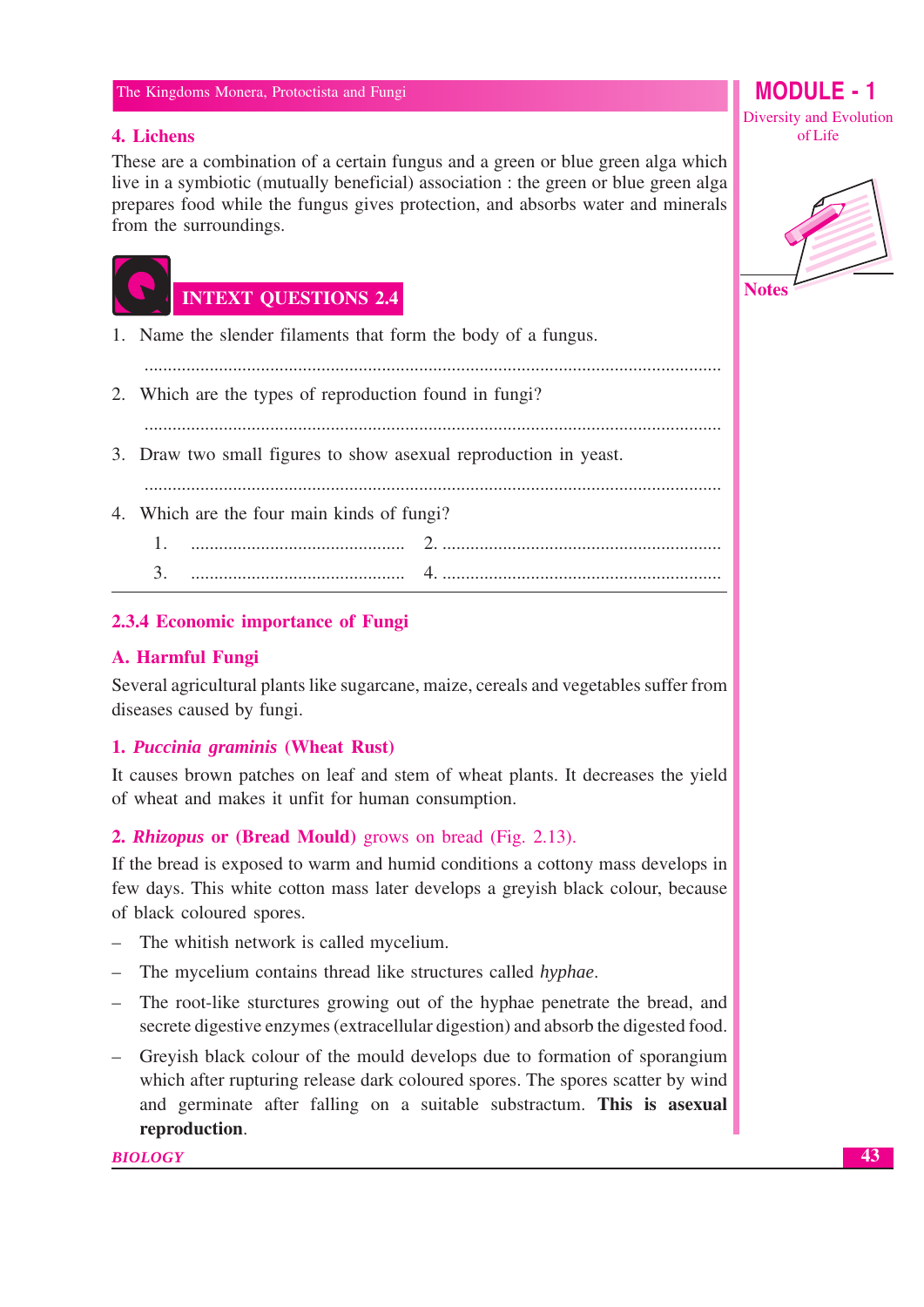#### 4. Lichens

These are a combination of a certain fungus and a green or blue green alga which live in a symbiotic (mutually beneficial) association : the green or blue green alga prepares food while the fungus gives protection, and absorbs water and minerals from the surroundings.



- 1. Name the slender filaments that form the body of a fungus.
- 2. Which are the types of reproduction found in fungi?
	-

- 3. Draw two small figures to show asexual reproduction in yeast.
- 4. Which are the four main kinds of fungi?
	- 1.  $\mathcal{E}$

# 2.3.4 Economic importance of Fungi

# A. Harmful Fungi

Several agricultural plants like sugarcane, maize, cereals and vegetables suffer from diseases caused by fungi.

#### 1. Puccinia graminis (Wheat Rust)

It causes brown patches on leaf and stem of wheat plants. It decreases the yield of wheat and makes it unfit for human consumption.

#### 2. Rhizopus or (Bread Mould) grows on bread (Fig. 2.13).

If the bread is exposed to warm and humid conditions a cottony mass develops in few days. This white cotton mass later develops a greyish black colour, because of black coloured spores.

- $\equiv$ The whitish network is called mycelium.
- The mycelium contains thread like structures called *hyphae*.
- The root-like sturctures growing out of the hyphae penetrate the bread, and secrete digestive enzymes (extracellular digestion) and absorb the digested food.
- Greyish black colour of the mould develops due to formation of sporangium which after rupturing release dark coloured spores. The spores scatter by wind and germinate after falling on a suitable substractum. This is asexual reproduction.

MODULE -  $1$ **Diversity and Evolution** of Life

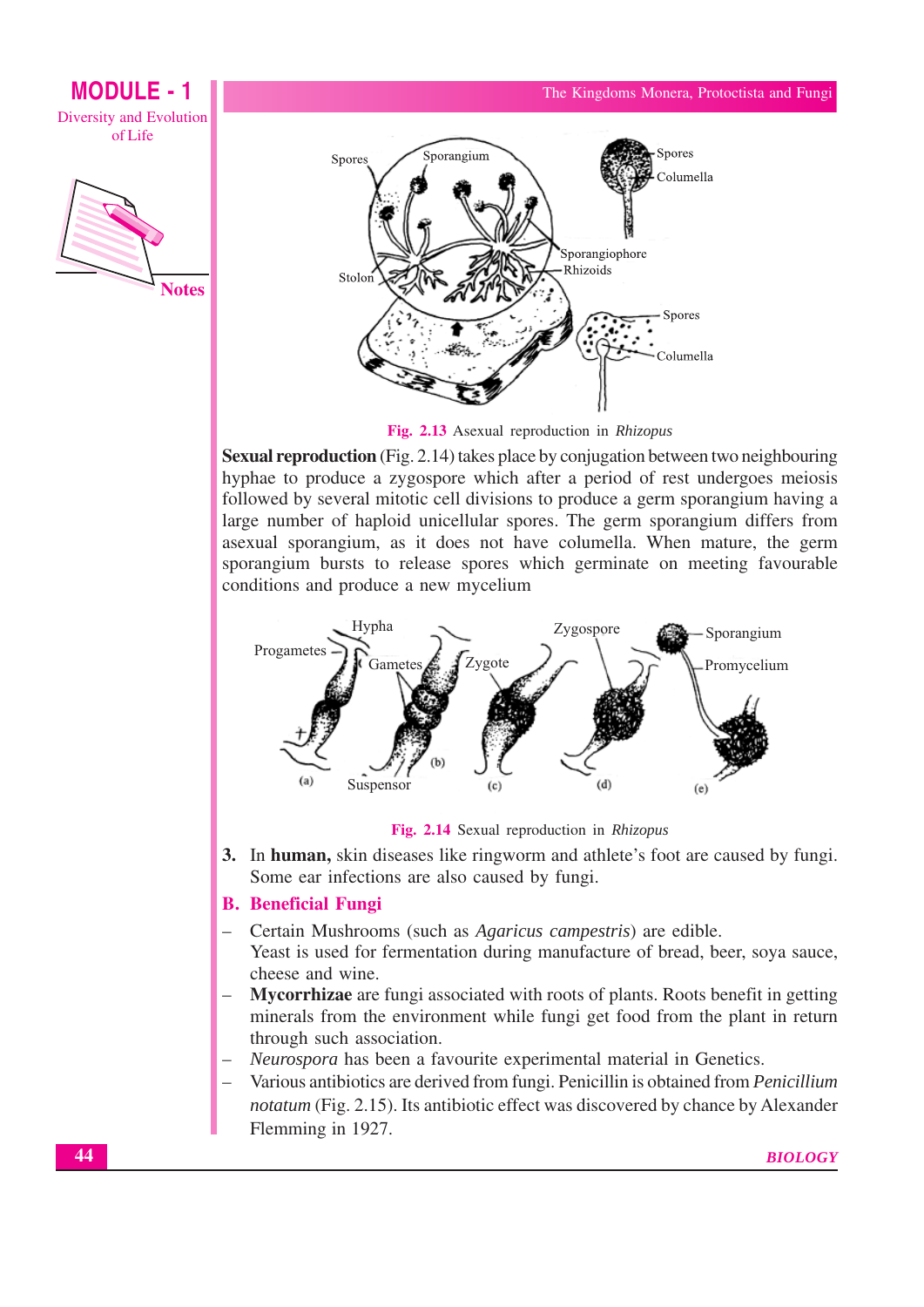



Fig. 2.13 Asexual reproduction in Rhizopus

**Sexual reproduction** (Fig. 2.14) takes place by conjugation between two neighbouring hyphae to produce a zygospore which after a period of rest undergoes meiosis followed by several mitotic cell divisions to produce a germ sporangium having a large number of haploid unicellular spores. The germ sporangium differs from asexual sporangium, as it does not have columella. When mature, the germ sporangium bursts to release spores which germinate on meeting favourable conditions and produce a new mycelium



Fig. 2.14 Sexual reproduction in Rhizopus

3. In human, skin diseases like ringworm and athlete's foot are caused by fungi. Some ear infections are also caused by fungi.

#### **B.** Beneficial Fungi

- Certain Mushrooms (such as Agaricus campestris) are edible. Yeast is used for fermentation during manufacture of bread, beer, soya sauce, cheese and wine.
- Mycorrhizae are fungi associated with roots of plants. Roots benefit in getting minerals from the environment while fungi get food from the plant in return through such association.
- Neurospora has been a favourite experimental material in Genetics.
- Various antibiotics are derived from fungi. Penicillin is obtained from *Penicillium notatum* (Fig. 2.15). Its antibiotic effect was discovered by chance by Alexander Flemming in 1927.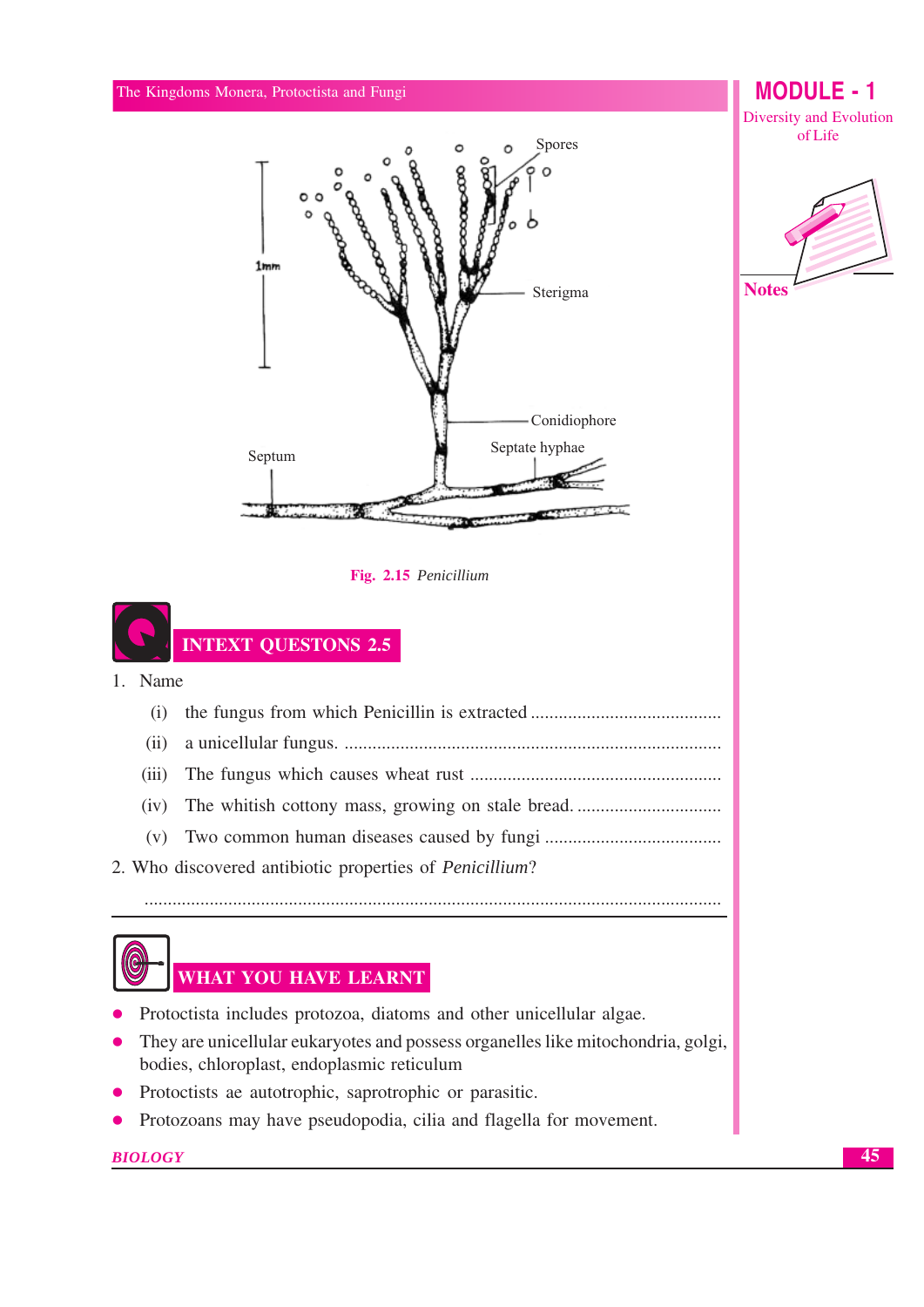

Protozoans may have pseudopodia, cilia and flagella for movement.  $\bullet$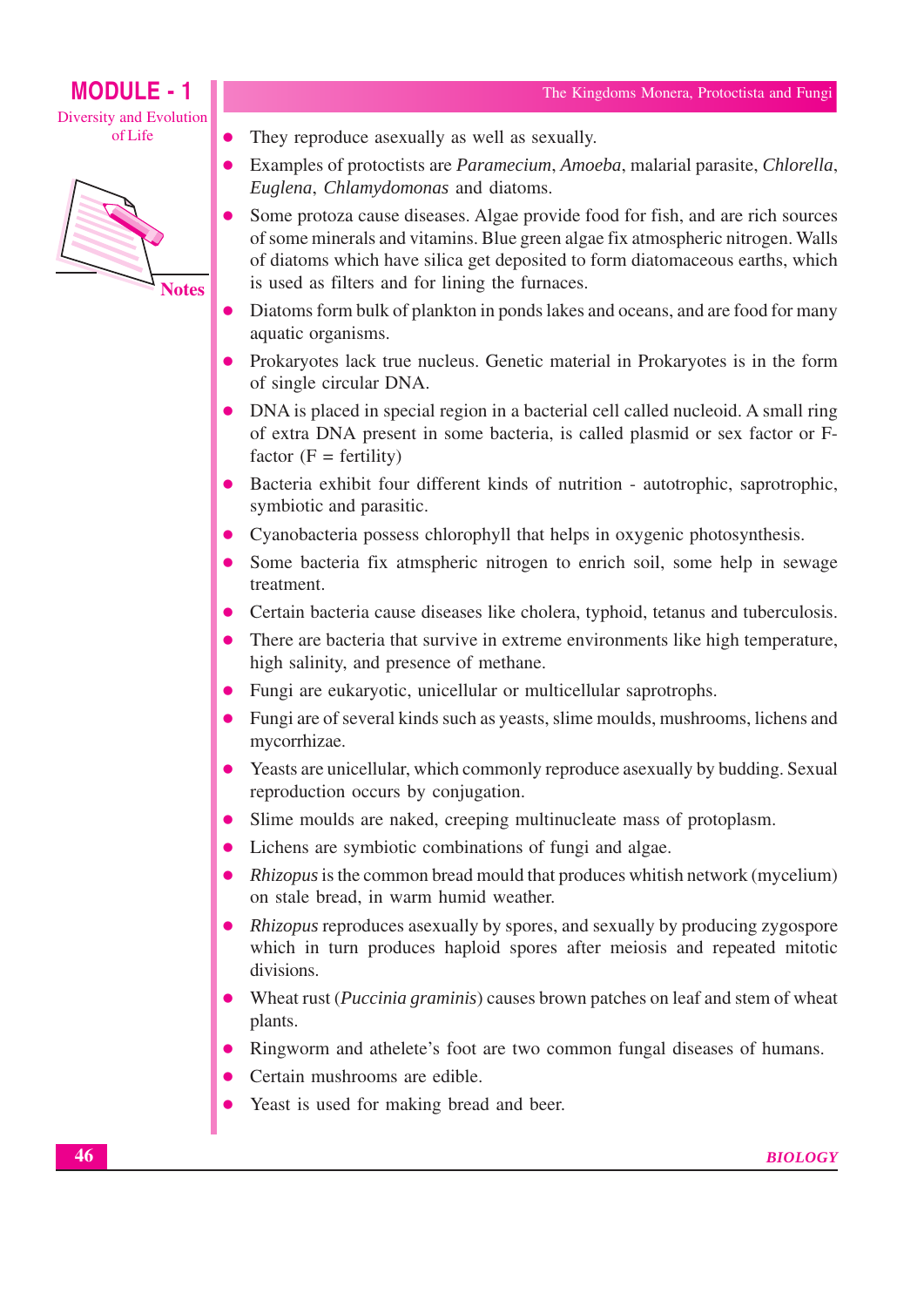



- They reproduce as exually as well as sexually.
- Examples of protoctists are *Paramecium, Amoeba,* malarial parasite, *Chlorella*, Euglena, Chlamydomonas and diatoms.
- Some protoza cause diseases. Algae provide food for fish, and are rich sources of some minerals and vitamins. Blue green algae fix atmospheric nitrogen. Walls of diatoms which have silica get deposited to form diatomaceous earths, which is used as filters and for lining the furnaces.
- Diatoms form bulk of plankton in ponds lakes and oceans, and are food for many aquatic organisms.
- Prokaryotes lack true nucleus. Genetic material in Prokaryotes is in the form of single circular DNA.
- DNA is placed in special region in a bacterial cell called nucleoid. A small ring of extra DNA present in some bacteria, is called plasmid or sex factor or Ffactor  $(F = fertility)$
- Bacteria exhibit four different kinds of nutrition autotrophic, saprotrophic, symbiotic and parasitic.
- Cyanobacteria possess chlorophyll that helps in oxygenic photosynthesis.
- Some bacteria fix atmspheric nitrogen to enrich soil, some help in sewage treatment.
- Certain bacteria cause diseases like cholera, typhoid, tetanus and tuberculosis.
- There are bacteria that survive in extreme environments like high temperature. high salinity, and presence of methane.
- Fungi are eukaryotic, unicellular or multicellular saprotrophs.
- Fungi are of several kinds such as yeasts, slime moulds, mushrooms, lichens and mycorrhizae.
- Yeasts are unicellular, which commonly reproduce as exually by budding. Sexual reproduction occurs by conjugation.
- Slime moulds are naked, creeping multinucleate mass of protoplasm.  $\bullet$
- Lichens are symbiotic combinations of fungi and algae.
- *Rhizopus* is the common bread mould that produces whitish network (mycelium) on stale bread, in warm humid weather.
- *Rhizopus* reproduces as exually by spores, and sexually by producing zygospore which in turn produces haploid spores after meiosis and repeated mitotic divisions.
- Wheat rust (*Puccinia graminis*) causes brown patches on leaf and stem of wheat plants.
- Ringworm and athelete's foot are two common fungal diseases of humans.
- Certain mushrooms are edible.
- Yeast is used for making bread and beer.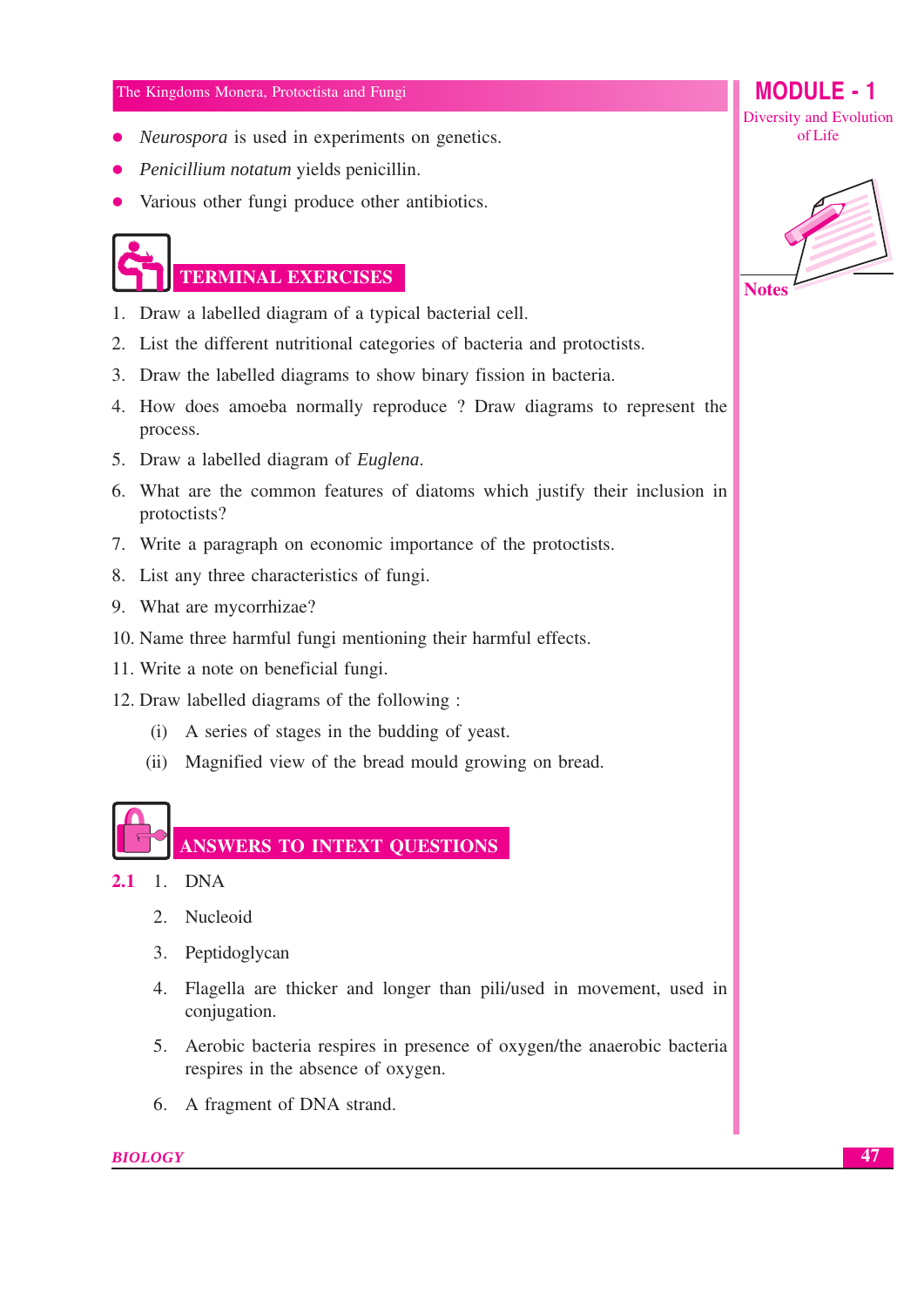- *Neurospora* is used in experiments on genetics.
- *Penicillium notatum* yields penicillin.
- Various other fungi produce other antibiotics.

# **TERMINAL EXERCISES**

- 1. Draw a labelled diagram of a typical bacterial cell.
- 2. List the different nutritional categories of bacteria and protoctists.
- 3. Draw the labelled diagrams to show binary fission in bacteria.
- 4. How does amoeba normally reproduce ? Draw diagrams to represent the process.
- 5. Draw a labelled diagram of *Euglena*.
- 6. What are the common features of diatoms which justify their inclusion in protoctists?
- 7. Write a paragraph on economic importance of the protoctists.
- 8. List any three characteristics of fungi.
- 9. What are mycorrhizae?
- 10. Name three harmful fungi mentioning their harmful effects.
- 11. Write a note on beneficial fungi.
- 12. Draw labelled diagrams of the following:
	- (i) A series of stages in the budding of yeast.
	- (ii) Magnified view of the bread mould growing on bread.

#### **ANSWERS TO INTEXT QUESTIONS**

- $2.1$  $1<sub>1</sub>$ **DNA** 
	- Nucleoid  $2^{\circ}$
	- 3. Peptidoglycan
	- 4. Flagella are thicker and longer than pili/used in movement, used in conjugation.
	- 5. Aerobic bacteria respires in presence of oxygen/the anaerobic bacteria respires in the absence of oxygen.
	- 6. A fragment of DNA strand.

#### **BIOLOGY**



MODULE -  $1$